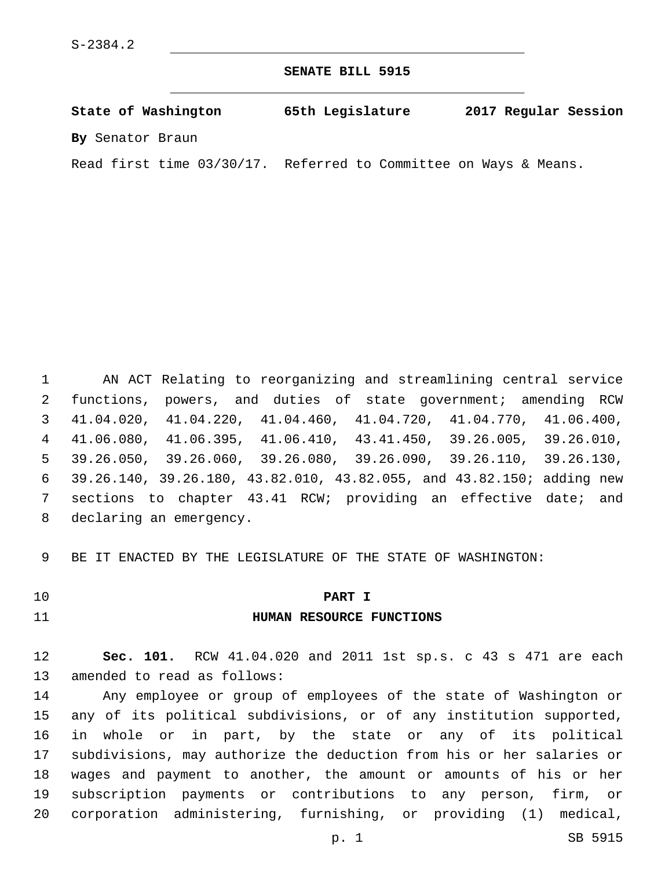**SENATE BILL 5915**

**State of Washington 65th Legislature 2017 Regular Session By** Senator Braun

Read first time 03/30/17. Referred to Committee on Ways & Means.

 AN ACT Relating to reorganizing and streamlining central service functions, powers, and duties of state government; amending RCW 41.04.020, 41.04.220, 41.04.460, 41.04.720, 41.04.770, 41.06.400, 41.06.080, 41.06.395, 41.06.410, 43.41.450, 39.26.005, 39.26.010, 39.26.050, 39.26.060, 39.26.080, 39.26.090, 39.26.110, 39.26.130, 39.26.140, 39.26.180, 43.82.010, 43.82.055, and 43.82.150; adding new sections to chapter 43.41 RCW; providing an effective date; and 8 declaring an emergency.

BE IT ENACTED BY THE LEGISLATURE OF THE STATE OF WASHINGTON:

## **PART I**

# **HUMAN RESOURCE FUNCTIONS**

 **Sec. 101.** RCW 41.04.020 and 2011 1st sp.s. c 43 s 471 are each 13 amended to read as follows:

 Any employee or group of employees of the state of Washington or any of its political subdivisions, or of any institution supported, in whole or in part, by the state or any of its political subdivisions, may authorize the deduction from his or her salaries or wages and payment to another, the amount or amounts of his or her subscription payments or contributions to any person, firm, or corporation administering, furnishing, or providing (1) medical,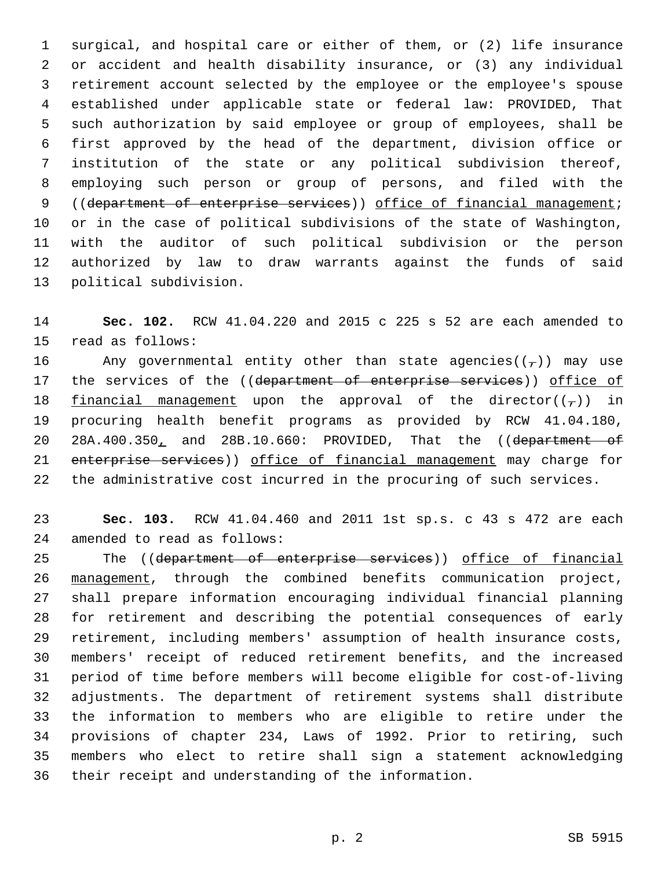surgical, and hospital care or either of them, or (2) life insurance or accident and health disability insurance, or (3) any individual retirement account selected by the employee or the employee's spouse established under applicable state or federal law: PROVIDED, That such authorization by said employee or group of employees, shall be first approved by the head of the department, division office or institution of the state or any political subdivision thereof, employing such person or group of persons, and filed with the 9 ((department of enterprise services)) office of financial management; or in the case of political subdivisions of the state of Washington, with the auditor of such political subdivision or the person authorized by law to draw warrants against the funds of said 13 political subdivision.

 **Sec. 102.** RCW 41.04.220 and 2015 c 225 s 52 are each amended to 15 read as follows:

16 Any governmental entity other than state agencies( $(\tau)$ ) may use 17 the services of the ((department of enterprise services)) office of 18 financial management upon the approval of the director( $(\tau)$ ) in procuring health benefit programs as provided by RCW 41.04.180, 20 28A.400.350, and 28B.10.660: PROVIDED, That the ((department of 21 enterprise services)) office of financial management may charge for the administrative cost incurred in the procuring of such services.

 **Sec. 103.** RCW 41.04.460 and 2011 1st sp.s. c 43 s 472 are each 24 amended to read as follows:

25 The ((department of enterprise services)) office of financial 26 management, through the combined benefits communication project, shall prepare information encouraging individual financial planning for retirement and describing the potential consequences of early retirement, including members' assumption of health insurance costs, members' receipt of reduced retirement benefits, and the increased period of time before members will become eligible for cost-of-living adjustments. The department of retirement systems shall distribute the information to members who are eligible to retire under the provisions of chapter 234, Laws of 1992. Prior to retiring, such members who elect to retire shall sign a statement acknowledging their receipt and understanding of the information.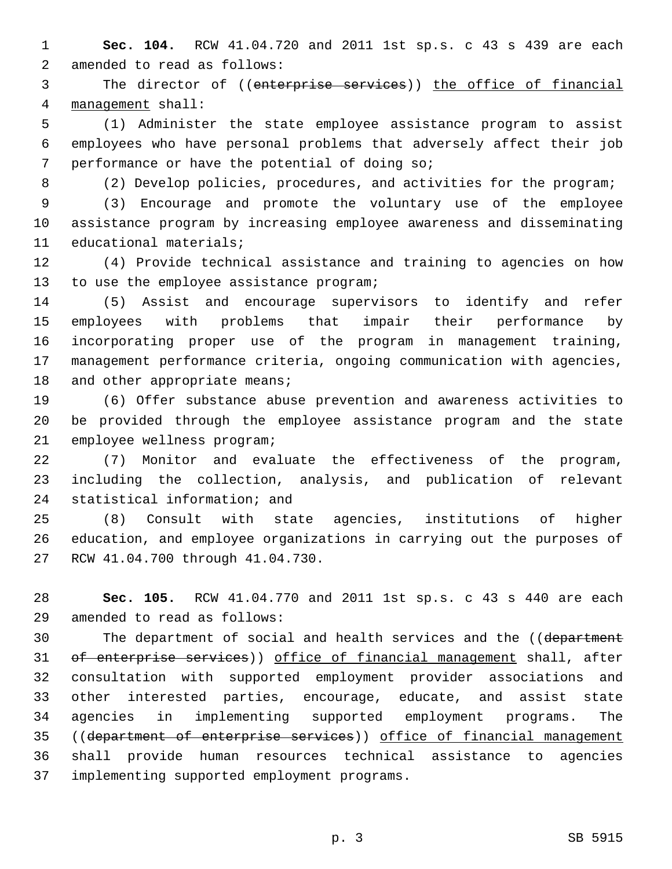**Sec. 104.** RCW 41.04.720 and 2011 1st sp.s. c 43 s 439 are each 2 amended to read as follows:

 The director of ((enterprise services)) the office of financial management shall:4

 (1) Administer the state employee assistance program to assist employees who have personal problems that adversely affect their job 7 performance or have the potential of doing so;

(2) Develop policies, procedures, and activities for the program;

 (3) Encourage and promote the voluntary use of the employee assistance program by increasing employee awareness and disseminating 11 educational materials;

 (4) Provide technical assistance and training to agencies on how 13 to use the employee assistance program;

 (5) Assist and encourage supervisors to identify and refer employees with problems that impair their performance by incorporating proper use of the program in management training, management performance criteria, ongoing communication with agencies, 18 and other appropriate means;

 (6) Offer substance abuse prevention and awareness activities to be provided through the employee assistance program and the state 21 employee wellness program;

 (7) Monitor and evaluate the effectiveness of the program, including the collection, analysis, and publication of relevant 24 statistical information; and

 (8) Consult with state agencies, institutions of higher education, and employee organizations in carrying out the purposes of 27 RCW 41.04.700 through 41.04.730.

 **Sec. 105.** RCW 41.04.770 and 2011 1st sp.s. c 43 s 440 are each amended to read as follows:29

30 The department of social and health services and the ((department 31 of enterprise services)) office of financial management shall, after consultation with supported employment provider associations and other interested parties, encourage, educate, and assist state agencies in implementing supported employment programs. The ((department of enterprise services)) office of financial management shall provide human resources technical assistance to agencies 37 implementing supported employment programs.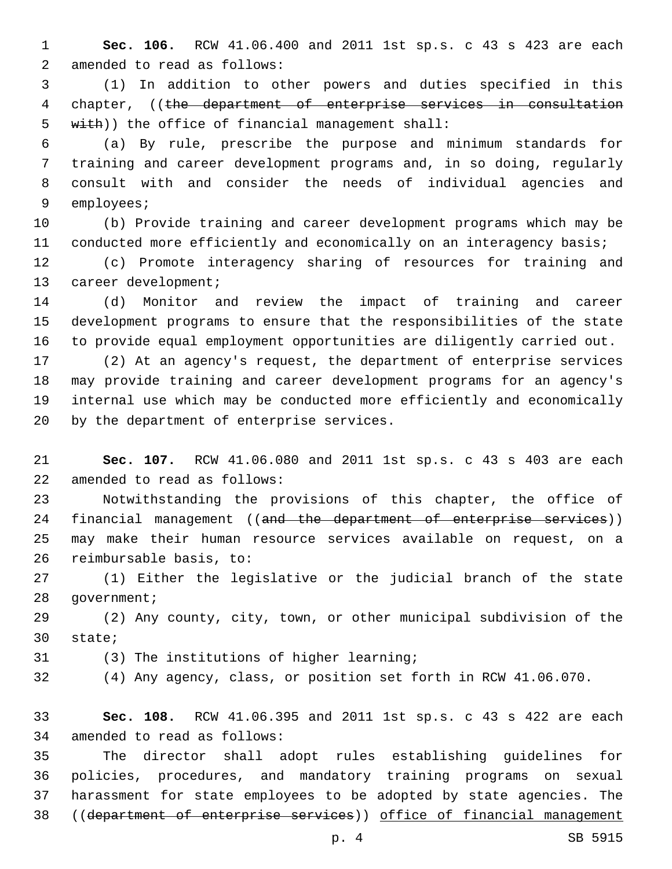**Sec. 106.** RCW 41.06.400 and 2011 1st sp.s. c 43 s 423 are each 2 amended to read as follows:

 (1) In addition to other powers and duties specified in this 4 chapter, ((the department of enterprise services in consultation 5  $with)$  the office of financial management shall:

 (a) By rule, prescribe the purpose and minimum standards for training and career development programs and, in so doing, regularly consult with and consider the needs of individual agencies and 9 employees;

 (b) Provide training and career development programs which may be 11 conducted more efficiently and economically on an interagency basis;

 (c) Promote interagency sharing of resources for training and 13 career development;

 (d) Monitor and review the impact of training and career development programs to ensure that the responsibilities of the state to provide equal employment opportunities are diligently carried out.

 (2) At an agency's request, the department of enterprise services may provide training and career development programs for an agency's internal use which may be conducted more efficiently and economically 20 by the department of enterprise services.

 **Sec. 107.** RCW 41.06.080 and 2011 1st sp.s. c 43 s 403 are each 22 amended to read as follows:

 Notwithstanding the provisions of this chapter, the office of 24 financial management ((and the department of enterprise services)) may make their human resource services available on request, on a 26 reimbursable basis, to:

 (1) Either the legislative or the judicial branch of the state 28 qovernment;

 (2) Any county, city, town, or other municipal subdivision of the 30 state;

(3) The institutions of higher learning;

(4) Any agency, class, or position set forth in RCW 41.06.070.

 **Sec. 108.** RCW 41.06.395 and 2011 1st sp.s. c 43 s 422 are each 34 amended to read as follows:

 The director shall adopt rules establishing guidelines for policies, procedures, and mandatory training programs on sexual harassment for state employees to be adopted by state agencies. The ((department of enterprise services)) office of financial management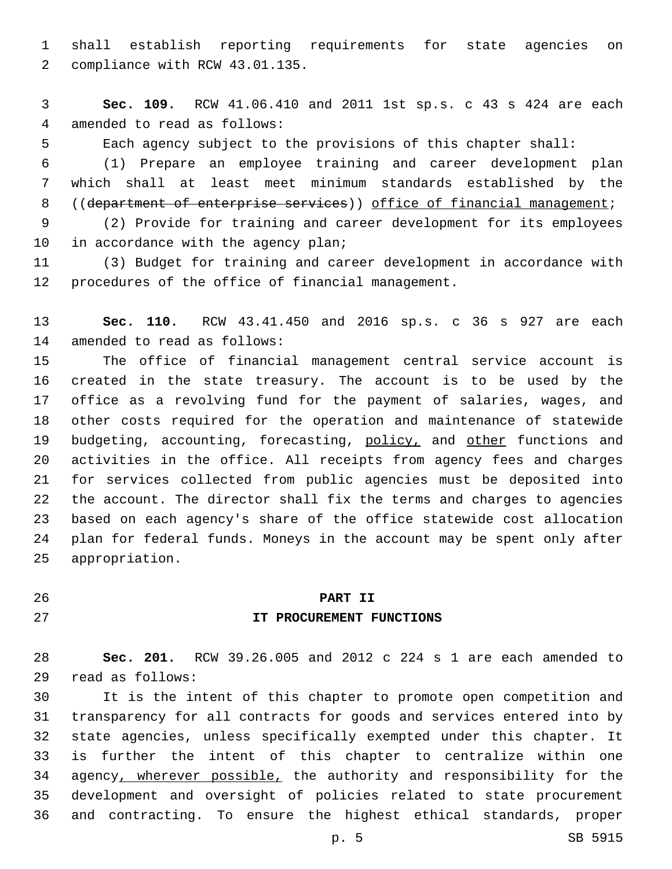shall establish reporting requirements for state agencies on 2 compliance with RCW 43.01.135.

 **Sec. 109.** RCW 41.06.410 and 2011 1st sp.s. c 43 s 424 are each 4 amended to read as follows:

Each agency subject to the provisions of this chapter shall:

 (1) Prepare an employee training and career development plan which shall at least meet minimum standards established by the 8 ((department of enterprise services)) office of financial management;

 (2) Provide for training and career development for its employees 10 in accordance with the agency plan;

 (3) Budget for training and career development in accordance with 12 procedures of the office of financial management.

 **Sec. 110.** RCW 43.41.450 and 2016 sp.s. c 36 s 927 are each 14 amended to read as follows:

 The office of financial management central service account is created in the state treasury. The account is to be used by the office as a revolving fund for the payment of salaries, wages, and other costs required for the operation and maintenance of statewide 19 budgeting, accounting, forecasting, policy, and other functions and activities in the office. All receipts from agency fees and charges for services collected from public agencies must be deposited into the account. The director shall fix the terms and charges to agencies based on each agency's share of the office statewide cost allocation plan for federal funds. Moneys in the account may be spent only after 25 appropriation.

#### **PART II**

#### **IT PROCUREMENT FUNCTIONS**

 **Sec. 201.** RCW 39.26.005 and 2012 c 224 s 1 are each amended to read as follows:29

 It is the intent of this chapter to promote open competition and transparency for all contracts for goods and services entered into by state agencies, unless specifically exempted under this chapter. It is further the intent of this chapter to centralize within one 34 agency, wherever possible, the authority and responsibility for the development and oversight of policies related to state procurement and contracting. To ensure the highest ethical standards, proper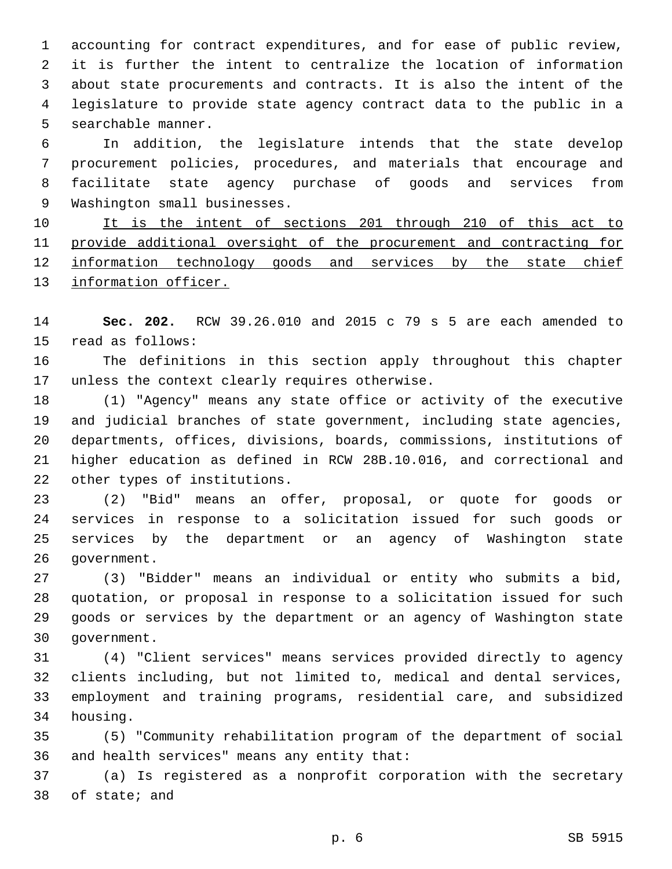accounting for contract expenditures, and for ease of public review, it is further the intent to centralize the location of information about state procurements and contracts. It is also the intent of the legislature to provide state agency contract data to the public in a 5 searchable manner.

 In addition, the legislature intends that the state develop procurement policies, procedures, and materials that encourage and facilitate state agency purchase of goods and services from 9 Washington small businesses.

10 It is the intent of sections 201 through 210 of this act to provide additional oversight of the procurement and contracting for information technology goods and services by the state chief information officer.

 **Sec. 202.** RCW 39.26.010 and 2015 c 79 s 5 are each amended to 15 read as follows:

 The definitions in this section apply throughout this chapter 17 unless the context clearly requires otherwise.

 (1) "Agency" means any state office or activity of the executive and judicial branches of state government, including state agencies, departments, offices, divisions, boards, commissions, institutions of higher education as defined in RCW 28B.10.016, and correctional and 22 other types of institutions.

 (2) "Bid" means an offer, proposal, or quote for goods or services in response to a solicitation issued for such goods or services by the department or an agency of Washington state 26 qovernment.

 (3) "Bidder" means an individual or entity who submits a bid, quotation, or proposal in response to a solicitation issued for such goods or services by the department or an agency of Washington state 30 qovernment.

 (4) "Client services" means services provided directly to agency clients including, but not limited to, medical and dental services, employment and training programs, residential care, and subsidized 34 housing.

 (5) "Community rehabilitation program of the department of social 36 and health services" means any entity that:

 (a) Is registered as a nonprofit corporation with the secretary 38 of state; and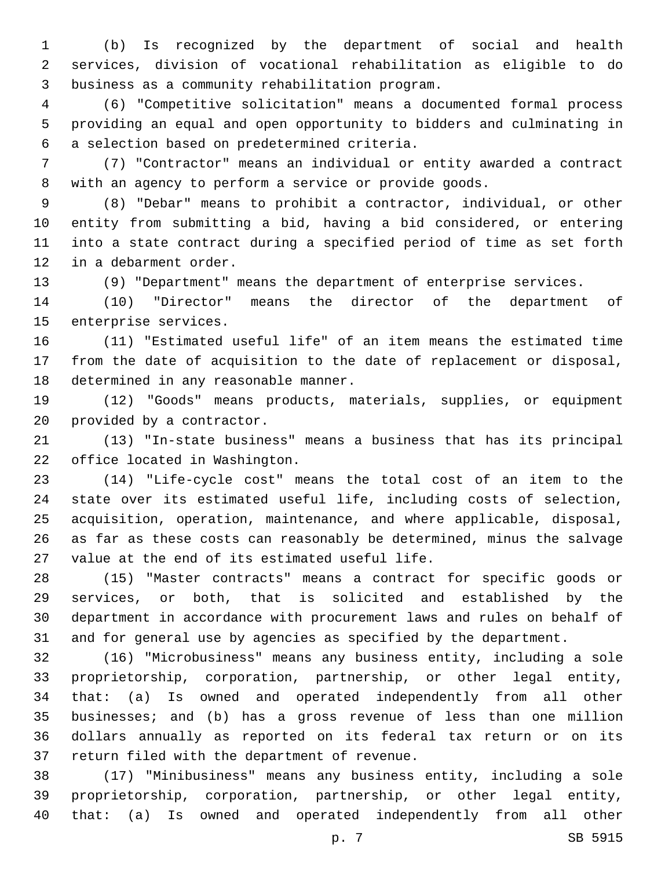(b) Is recognized by the department of social and health services, division of vocational rehabilitation as eligible to do business as a community rehabilitation program.3

 (6) "Competitive solicitation" means a documented formal process providing an equal and open opportunity to bidders and culminating in a selection based on predetermined criteria.6

 (7) "Contractor" means an individual or entity awarded a contract with an agency to perform a service or provide goods.

 (8) "Debar" means to prohibit a contractor, individual, or other entity from submitting a bid, having a bid considered, or entering into a state contract during a specified period of time as set forth 12 in a debarment order.

(9) "Department" means the department of enterprise services.

 (10) "Director" means the director of the department of 15 enterprise services.

 (11) "Estimated useful life" of an item means the estimated time from the date of acquisition to the date of replacement or disposal, 18 determined in any reasonable manner.

 (12) "Goods" means products, materials, supplies, or equipment 20 provided by a contractor.

 (13) "In-state business" means a business that has its principal 22 office located in Washington.

 (14) "Life-cycle cost" means the total cost of an item to the state over its estimated useful life, including costs of selection, acquisition, operation, maintenance, and where applicable, disposal, as far as these costs can reasonably be determined, minus the salvage 27 value at the end of its estimated useful life.

 (15) "Master contracts" means a contract for specific goods or services, or both, that is solicited and established by the department in accordance with procurement laws and rules on behalf of and for general use by agencies as specified by the department.

 (16) "Microbusiness" means any business entity, including a sole proprietorship, corporation, partnership, or other legal entity, that: (a) Is owned and operated independently from all other businesses; and (b) has a gross revenue of less than one million dollars annually as reported on its federal tax return or on its 37 return filed with the department of revenue.

 (17) "Minibusiness" means any business entity, including a sole proprietorship, corporation, partnership, or other legal entity, that: (a) Is owned and operated independently from all other

p. 7 SB 5915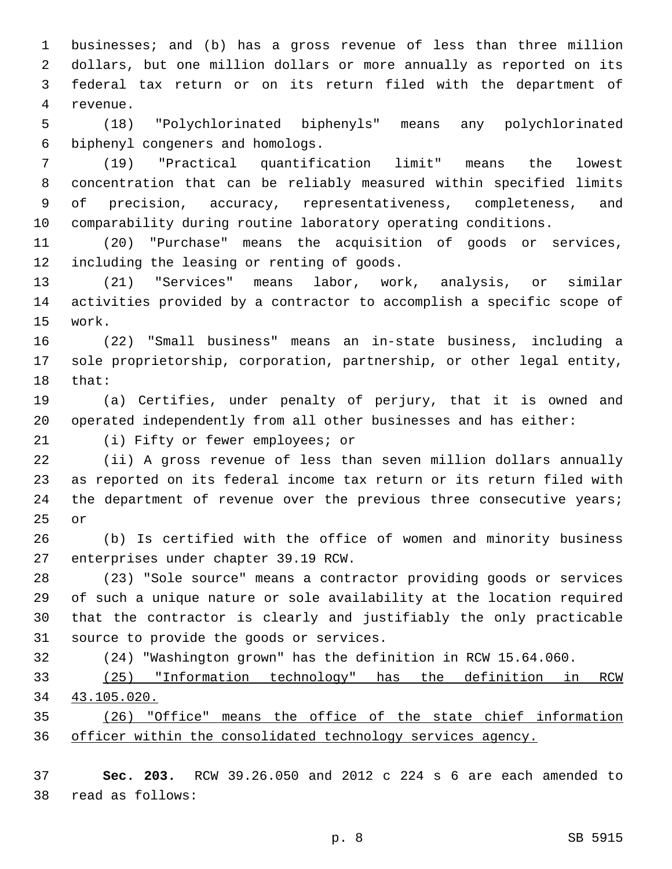businesses; and (b) has a gross revenue of less than three million dollars, but one million dollars or more annually as reported on its federal tax return or on its return filed with the department of 4 revenue.

 (18) "Polychlorinated biphenyls" means any polychlorinated biphenyl congeners and homologs.6

 (19) "Practical quantification limit" means the lowest concentration that can be reliably measured within specified limits of precision, accuracy, representativeness, completeness, and comparability during routine laboratory operating conditions.

 (20) "Purchase" means the acquisition of goods or services, 12 including the leasing or renting of goods.

 (21) "Services" means labor, work, analysis, or similar activities provided by a contractor to accomplish a specific scope of 15 work.

 (22) "Small business" means an in-state business, including a sole proprietorship, corporation, partnership, or other legal entity, 18 that:

 (a) Certifies, under penalty of perjury, that it is owned and operated independently from all other businesses and has either:

21 (i) Fifty or fewer employees; or

 (ii) A gross revenue of less than seven million dollars annually as reported on its federal income tax return or its return filed with 24 the department of revenue over the previous three consecutive years; 25 or

 (b) Is certified with the office of women and minority business 27 enterprises under chapter 39.19 RCW.

 (23) "Sole source" means a contractor providing goods or services of such a unique nature or sole availability at the location required that the contractor is clearly and justifiably the only practicable 31 source to provide the goods or services.

(24) "Washington grown" has the definition in RCW 15.64.060.

 (25) "Information technology" has the definition in RCW 43.105.020.

 (26) "Office" means the office of the state chief information officer within the consolidated technology services agency.

 **Sec. 203.** RCW 39.26.050 and 2012 c 224 s 6 are each amended to 38 read as follows: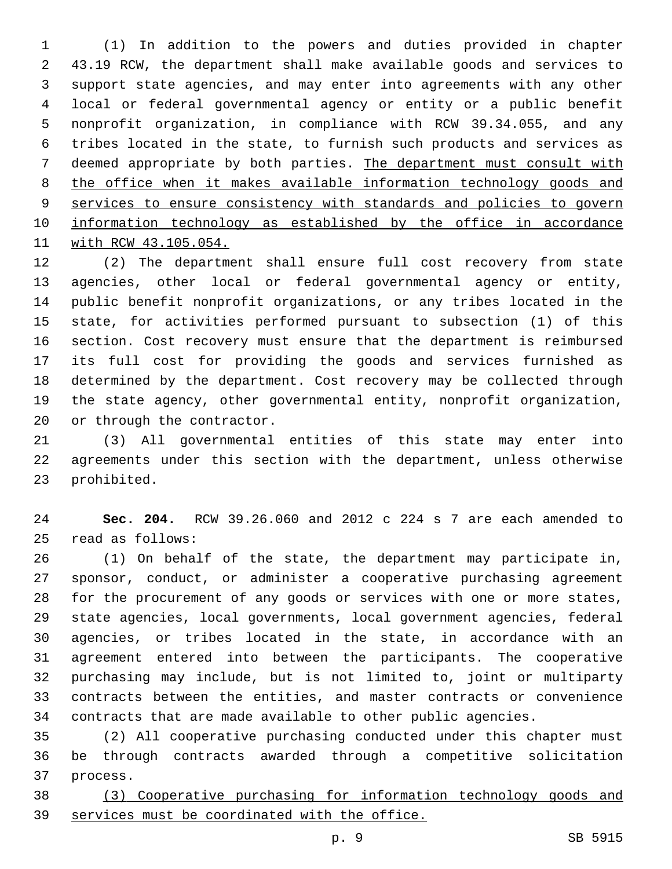(1) In addition to the powers and duties provided in chapter 43.19 RCW, the department shall make available goods and services to support state agencies, and may enter into agreements with any other local or federal governmental agency or entity or a public benefit nonprofit organization, in compliance with RCW 39.34.055, and any tribes located in the state, to furnish such products and services as deemed appropriate by both parties. The department must consult with 8 the office when it makes available information technology goods and services to ensure consistency with standards and policies to govern information technology as established by the office in accordance with RCW 43.105.054.

 (2) The department shall ensure full cost recovery from state agencies, other local or federal governmental agency or entity, public benefit nonprofit organizations, or any tribes located in the state, for activities performed pursuant to subsection (1) of this section. Cost recovery must ensure that the department is reimbursed its full cost for providing the goods and services furnished as determined by the department. Cost recovery may be collected through the state agency, other governmental entity, nonprofit organization, 20 or through the contractor.

 (3) All governmental entities of this state may enter into agreements under this section with the department, unless otherwise 23 prohibited.

 **Sec. 204.** RCW 39.26.060 and 2012 c 224 s 7 are each amended to read as follows:25

 (1) On behalf of the state, the department may participate in, sponsor, conduct, or administer a cooperative purchasing agreement for the procurement of any goods or services with one or more states, state agencies, local governments, local government agencies, federal agencies, or tribes located in the state, in accordance with an agreement entered into between the participants. The cooperative purchasing may include, but is not limited to, joint or multiparty contracts between the entities, and master contracts or convenience contracts that are made available to other public agencies.

 (2) All cooperative purchasing conducted under this chapter must be through contracts awarded through a competitive solicitation 37 process.

 (3) Cooperative purchasing for information technology goods and services must be coordinated with the office.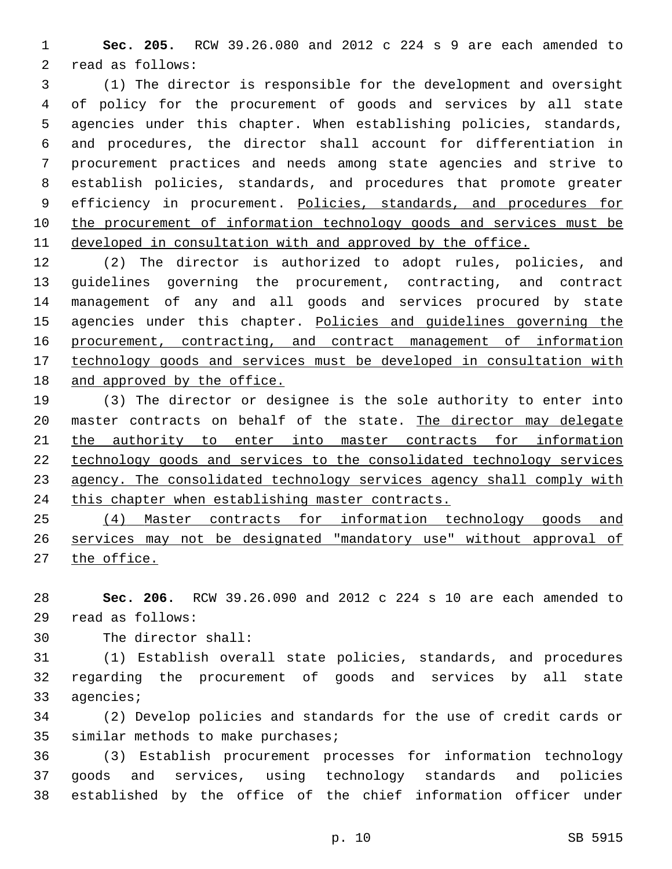**Sec. 205.** RCW 39.26.080 and 2012 c 224 s 9 are each amended to 2 read as follows:

 (1) The director is responsible for the development and oversight of policy for the procurement of goods and services by all state agencies under this chapter. When establishing policies, standards, and procedures, the director shall account for differentiation in procurement practices and needs among state agencies and strive to establish policies, standards, and procedures that promote greater 9 efficiency in procurement. Policies, standards, and procedures for the procurement of information technology goods and services must be developed in consultation with and approved by the office.

 (2) The director is authorized to adopt rules, policies, and guidelines governing the procurement, contracting, and contract management of any and all goods and services procured by state 15 agencies under this chapter. Policies and guidelines governing the procurement, contracting, and contract management of information technology goods and services must be developed in consultation with and approved by the office.

 (3) The director or designee is the sole authority to enter into 20 master contracts on behalf of the state. The director may delegate the authority to enter into master contracts for information technology goods and services to the consolidated technology services agency. The consolidated technology services agency shall comply with 24 this chapter when establishing master contracts.

 (4) Master contracts for information technology goods and services may not be designated "mandatory use" without approval of the office.

 **Sec. 206.** RCW 39.26.090 and 2012 c 224 s 10 are each amended to read as follows:29

30 The director shall:

 (1) Establish overall state policies, standards, and procedures regarding the procurement of goods and services by all state 33 agencies;

 (2) Develop policies and standards for the use of credit cards or 35 similar methods to make purchases;

 (3) Establish procurement processes for information technology goods and services, using technology standards and policies established by the office of the chief information officer under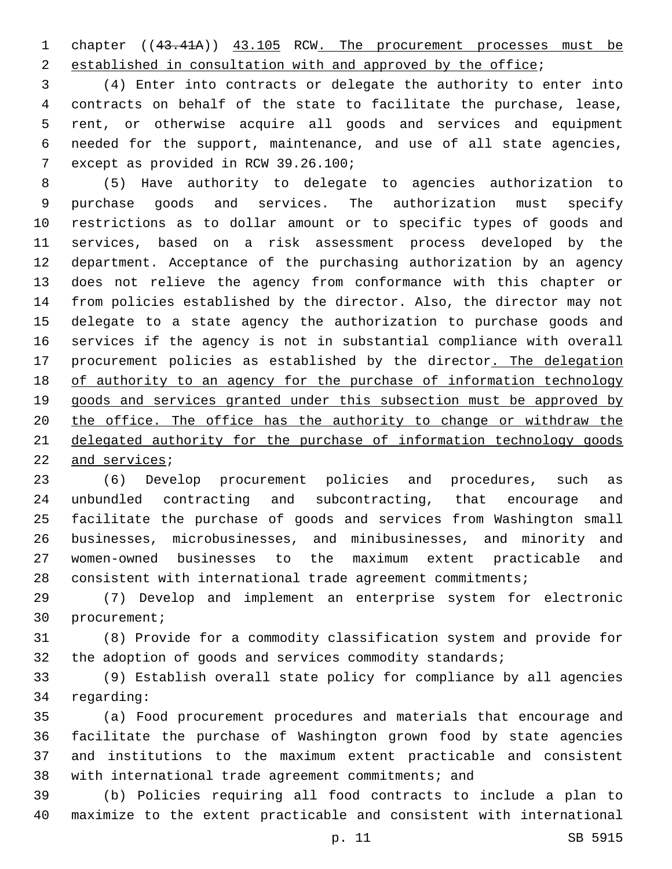1 chapter ((43.41A)) 43.105 RCW. The procurement processes must be 2 established in consultation with and approved by the office;

 (4) Enter into contracts or delegate the authority to enter into contracts on behalf of the state to facilitate the purchase, lease, rent, or otherwise acquire all goods and services and equipment needed for the support, maintenance, and use of all state agencies, 7 except as provided in RCW 39.26.100;

 (5) Have authority to delegate to agencies authorization to purchase goods and services. The authorization must specify restrictions as to dollar amount or to specific types of goods and services, based on a risk assessment process developed by the department. Acceptance of the purchasing authorization by an agency does not relieve the agency from conformance with this chapter or from policies established by the director. Also, the director may not delegate to a state agency the authorization to purchase goods and services if the agency is not in substantial compliance with overall 17 procurement policies as established by the director. The delegation 18 of authority to an agency for the purchase of information technology goods and services granted under this subsection must be approved by the office. The office has the authority to change or withdraw the delegated authority for the purchase of information technology goods 22 and services;

 (6) Develop procurement policies and procedures, such as unbundled contracting and subcontracting, that encourage and facilitate the purchase of goods and services from Washington small businesses, microbusinesses, and minibusinesses, and minority and women-owned businesses to the maximum extent practicable and consistent with international trade agreement commitments;

 (7) Develop and implement an enterprise system for electronic 30 procurement;

 (8) Provide for a commodity classification system and provide for 32 the adoption of goods and services commodity standards;

 (9) Establish overall state policy for compliance by all agencies regarding:34

 (a) Food procurement procedures and materials that encourage and facilitate the purchase of Washington grown food by state agencies and institutions to the maximum extent practicable and consistent with international trade agreement commitments; and

 (b) Policies requiring all food contracts to include a plan to maximize to the extent practicable and consistent with international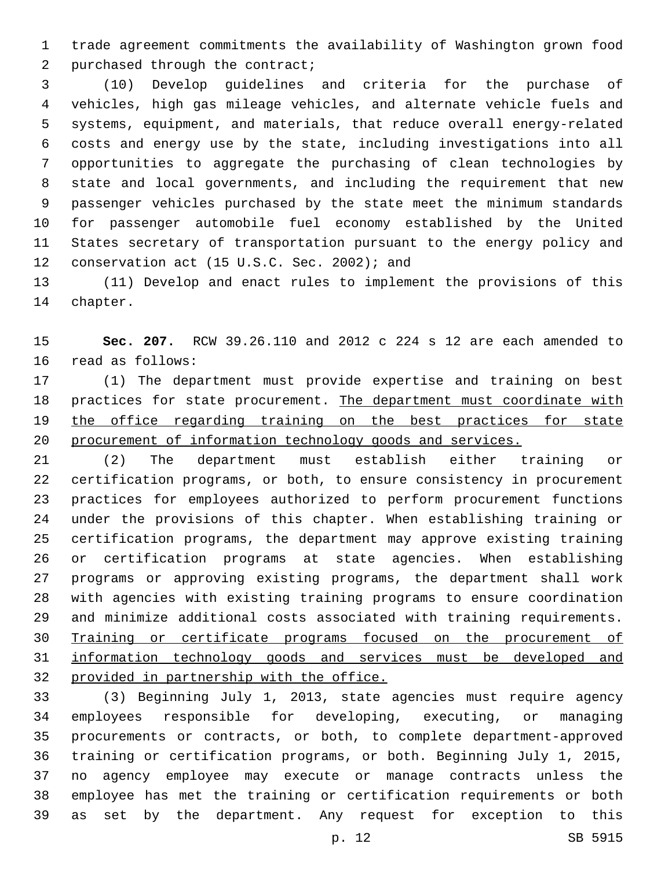trade agreement commitments the availability of Washington grown food 2 purchased through the contract;

 (10) Develop guidelines and criteria for the purchase of vehicles, high gas mileage vehicles, and alternate vehicle fuels and systems, equipment, and materials, that reduce overall energy-related costs and energy use by the state, including investigations into all opportunities to aggregate the purchasing of clean technologies by state and local governments, and including the requirement that new passenger vehicles purchased by the state meet the minimum standards for passenger automobile fuel economy established by the United States secretary of transportation pursuant to the energy policy and 12 conservation act (15 U.S.C. Sec. 2002); and

 (11) Develop and enact rules to implement the provisions of this 14 chapter.

 **Sec. 207.** RCW 39.26.110 and 2012 c 224 s 12 are each amended to 16 read as follows:

 (1) The department must provide expertise and training on best 18 practices for state procurement. The department must coordinate with 19 the office regarding training on the best practices for state procurement of information technology goods and services.

 (2) The department must establish either training or certification programs, or both, to ensure consistency in procurement practices for employees authorized to perform procurement functions under the provisions of this chapter. When establishing training or certification programs, the department may approve existing training or certification programs at state agencies. When establishing programs or approving existing programs, the department shall work with agencies with existing training programs to ensure coordination and minimize additional costs associated with training requirements. Training or certificate programs focused on the procurement of information technology goods and services must be developed and provided in partnership with the office.

 (3) Beginning July 1, 2013, state agencies must require agency employees responsible for developing, executing, or managing procurements or contracts, or both, to complete department-approved training or certification programs, or both. Beginning July 1, 2015, no agency employee may execute or manage contracts unless the employee has met the training or certification requirements or both as set by the department. Any request for exception to this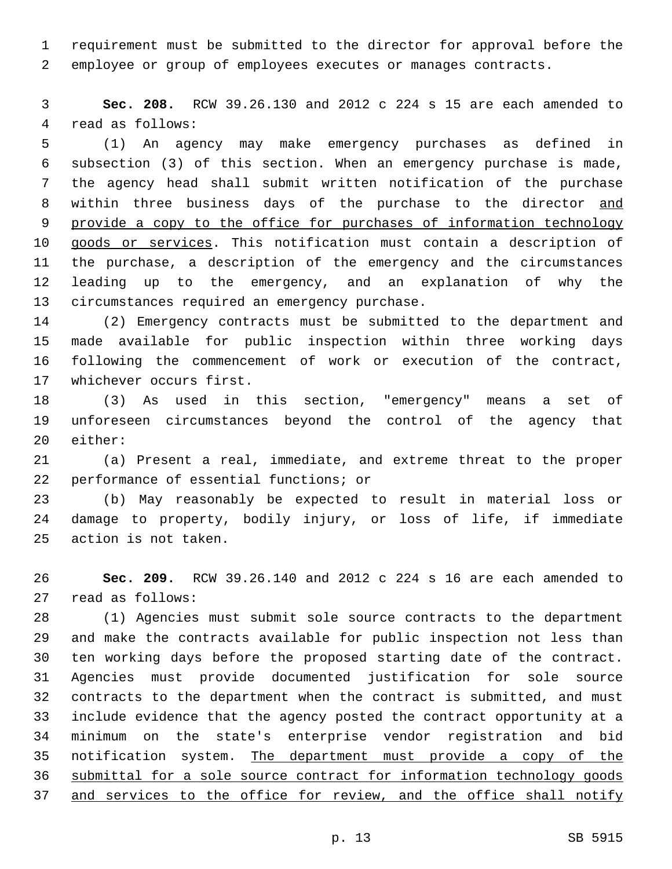requirement must be submitted to the director for approval before the employee or group of employees executes or manages contracts.

 **Sec. 208.** RCW 39.26.130 and 2012 c 224 s 15 are each amended to 4 read as follows:

 (1) An agency may make emergency purchases as defined in subsection (3) of this section. When an emergency purchase is made, the agency head shall submit written notification of the purchase 8 within three business days of the purchase to the director and provide a copy to the office for purchases of information technology goods or services. This notification must contain a description of the purchase, a description of the emergency and the circumstances leading up to the emergency, and an explanation of why the 13 circumstances required an emergency purchase.

 (2) Emergency contracts must be submitted to the department and made available for public inspection within three working days following the commencement of work or execution of the contract, 17 whichever occurs first.

 (3) As used in this section, "emergency" means a set of unforeseen circumstances beyond the control of the agency that 20 either:

 (a) Present a real, immediate, and extreme threat to the proper 22 performance of essential functions; or

 (b) May reasonably be expected to result in material loss or damage to property, bodily injury, or loss of life, if immediate 25 action is not taken.

 **Sec. 209.** RCW 39.26.140 and 2012 c 224 s 16 are each amended to 27 read as follows:

 (1) Agencies must submit sole source contracts to the department and make the contracts available for public inspection not less than ten working days before the proposed starting date of the contract. Agencies must provide documented justification for sole source contracts to the department when the contract is submitted, and must include evidence that the agency posted the contract opportunity at a minimum on the state's enterprise vendor registration and bid notification system. The department must provide a copy of the submittal for a sole source contract for information technology goods 37 and services to the office for review, and the office shall notify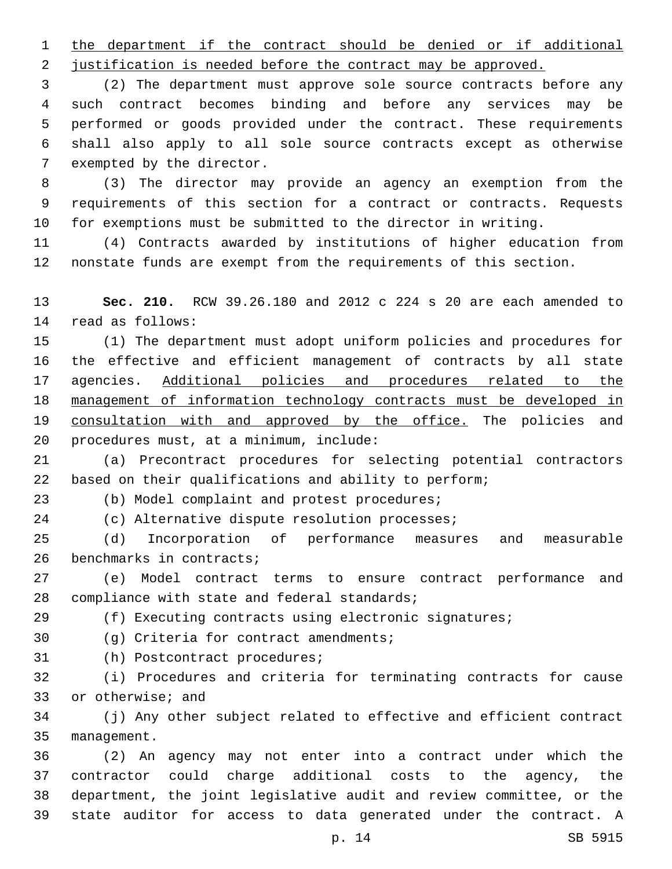the department if the contract should be denied or if additional 2 justification is needed before the contract may be approved.

 (2) The department must approve sole source contracts before any such contract becomes binding and before any services may be performed or goods provided under the contract. These requirements shall also apply to all sole source contracts except as otherwise 7 exempted by the director.

 (3) The director may provide an agency an exemption from the requirements of this section for a contract or contracts. Requests for exemptions must be submitted to the director in writing.

 (4) Contracts awarded by institutions of higher education from nonstate funds are exempt from the requirements of this section.

 **Sec. 210.** RCW 39.26.180 and 2012 c 224 s 20 are each amended to 14 read as follows:

 (1) The department must adopt uniform policies and procedures for the effective and efficient management of contracts by all state agencies. Additional policies and procedures related to the management of information technology contracts must be developed in 19 consultation with and approved by the office. The policies and procedures must, at a minimum, include:

 (a) Precontract procedures for selecting potential contractors based on their qualifications and ability to perform;

23 (b) Model complaint and protest procedures;

24 (c) Alternative dispute resolution processes;

 (d) Incorporation of performance measures and measurable 26 benchmarks in contracts;

 (e) Model contract terms to ensure contract performance and 28 compliance with state and federal standards;

(f) Executing contracts using electronic signatures;

30 (g) Criteria for contract amendments;

31 (h) Postcontract procedures;

 (i) Procedures and criteria for terminating contracts for cause 33 or otherwise; and

 (j) Any other subject related to effective and efficient contract 35 management.

 (2) An agency may not enter into a contract under which the contractor could charge additional costs to the agency, the department, the joint legislative audit and review committee, or the state auditor for access to data generated under the contract. A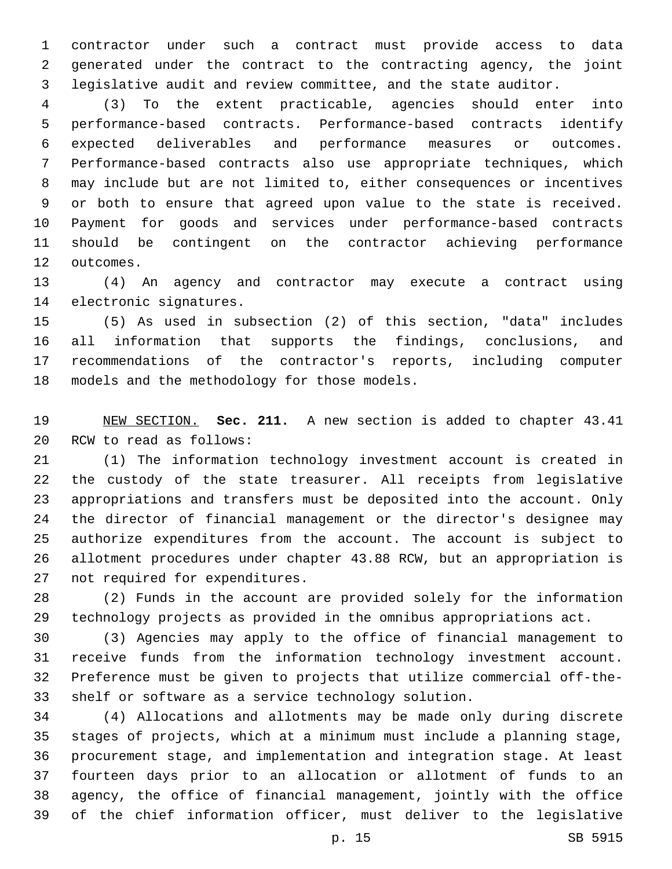contractor under such a contract must provide access to data generated under the contract to the contracting agency, the joint legislative audit and review committee, and the state auditor.

 (3) To the extent practicable, agencies should enter into performance-based contracts. Performance-based contracts identify expected deliverables and performance measures or outcomes. Performance-based contracts also use appropriate techniques, which may include but are not limited to, either consequences or incentives or both to ensure that agreed upon value to the state is received. Payment for goods and services under performance-based contracts should be contingent on the contractor achieving performance 12 outcomes.

 (4) An agency and contractor may execute a contract using 14 electronic signatures.

 (5) As used in subsection (2) of this section, "data" includes all information that supports the findings, conclusions, and recommendations of the contractor's reports, including computer 18 models and the methodology for those models.

 NEW SECTION. **Sec. 211.** A new section is added to chapter 43.41 20 RCW to read as follows:

 (1) The information technology investment account is created in the custody of the state treasurer. All receipts from legislative appropriations and transfers must be deposited into the account. Only the director of financial management or the director's designee may authorize expenditures from the account. The account is subject to allotment procedures under chapter 43.88 RCW, but an appropriation is 27 not required for expenditures.

 (2) Funds in the account are provided solely for the information technology projects as provided in the omnibus appropriations act.

 (3) Agencies may apply to the office of financial management to receive funds from the information technology investment account. Preference must be given to projects that utilize commercial off-the-shelf or software as a service technology solution.

 (4) Allocations and allotments may be made only during discrete stages of projects, which at a minimum must include a planning stage, procurement stage, and implementation and integration stage. At least fourteen days prior to an allocation or allotment of funds to an agency, the office of financial management, jointly with the office of the chief information officer, must deliver to the legislative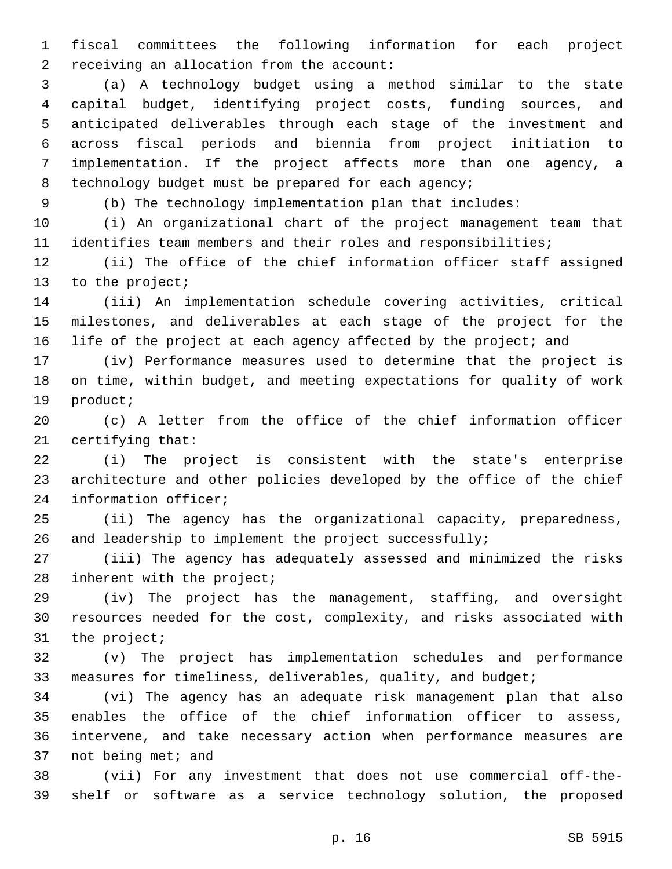fiscal committees the following information for each project 2 receiving an allocation from the account:

 (a) A technology budget using a method similar to the state capital budget, identifying project costs, funding sources, and anticipated deliverables through each stage of the investment and across fiscal periods and biennia from project initiation to implementation. If the project affects more than one agency, a technology budget must be prepared for each agency;

(b) The technology implementation plan that includes:

 (i) An organizational chart of the project management team that identifies team members and their roles and responsibilities;

 (ii) The office of the chief information officer staff assigned 13 to the project;

 (iii) An implementation schedule covering activities, critical milestones, and deliverables at each stage of the project for the 16 life of the project at each agency affected by the project; and

 (iv) Performance measures used to determine that the project is on time, within budget, and meeting expectations for quality of work 19 product;

 (c) A letter from the office of the chief information officer 21 certifying that:

 (i) The project is consistent with the state's enterprise architecture and other policies developed by the office of the chief 24 information officer;

 (ii) The agency has the organizational capacity, preparedness, 26 and leadership to implement the project successfully;

 (iii) The agency has adequately assessed and minimized the risks 28 inherent with the project;

 (iv) The project has the management, staffing, and oversight resources needed for the cost, complexity, and risks associated with the project;

 (v) The project has implementation schedules and performance measures for timeliness, deliverables, quality, and budget;

 (vi) The agency has an adequate risk management plan that also enables the office of the chief information officer to assess, intervene, and take necessary action when performance measures are 37 not being met; and

 (vii) For any investment that does not use commercial off-the-shelf or software as a service technology solution, the proposed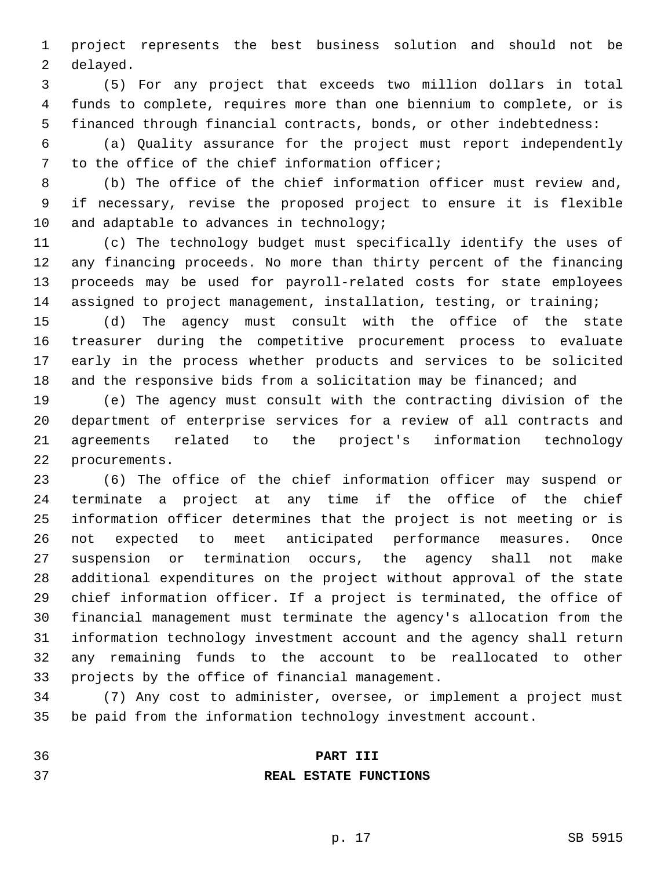project represents the best business solution and should not be 2 delayed.

 (5) For any project that exceeds two million dollars in total funds to complete, requires more than one biennium to complete, or is financed through financial contracts, bonds, or other indebtedness:

 (a) Quality assurance for the project must report independently 7 to the office of the chief information officer;

 (b) The office of the chief information officer must review and, if necessary, revise the proposed project to ensure it is flexible 10 and adaptable to advances in technology;

 (c) The technology budget must specifically identify the uses of any financing proceeds. No more than thirty percent of the financing proceeds may be used for payroll-related costs for state employees assigned to project management, installation, testing, or training;

 (d) The agency must consult with the office of the state treasurer during the competitive procurement process to evaluate early in the process whether products and services to be solicited and the responsive bids from a solicitation may be financed; and

 (e) The agency must consult with the contracting division of the department of enterprise services for a review of all contracts and agreements related to the project's information technology 22 procurements.

 (6) The office of the chief information officer may suspend or terminate a project at any time if the office of the chief information officer determines that the project is not meeting or is not expected to meet anticipated performance measures. Once suspension or termination occurs, the agency shall not make additional expenditures on the project without approval of the state chief information officer. If a project is terminated, the office of financial management must terminate the agency's allocation from the information technology investment account and the agency shall return any remaining funds to the account to be reallocated to other 33 projects by the office of financial management.

 (7) Any cost to administer, oversee, or implement a project must be paid from the information technology investment account.

#### **PART III**

#### **REAL ESTATE FUNCTIONS**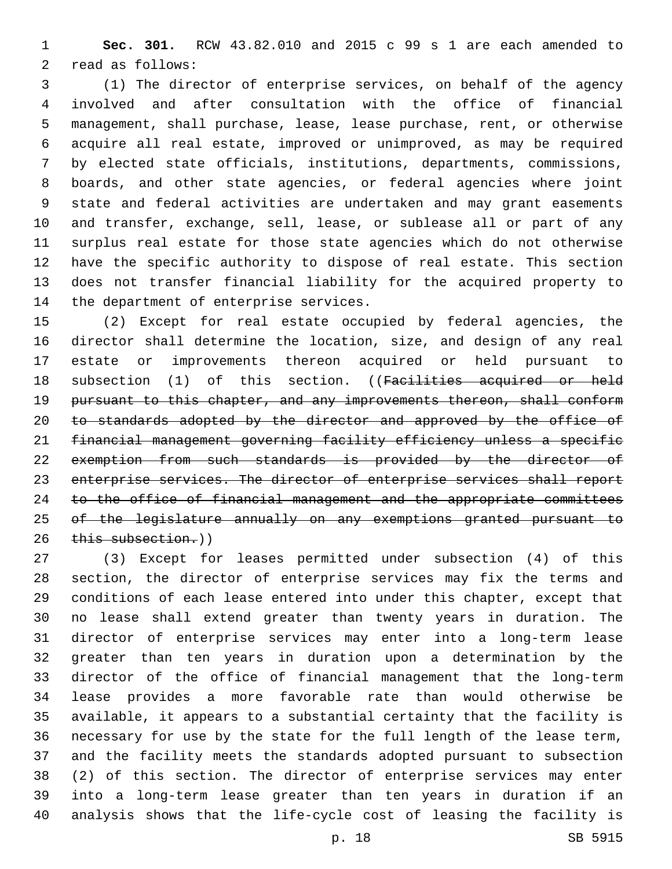**Sec. 301.** RCW 43.82.010 and 2015 c 99 s 1 are each amended to 2 read as follows:

 (1) The director of enterprise services, on behalf of the agency involved and after consultation with the office of financial management, shall purchase, lease, lease purchase, rent, or otherwise acquire all real estate, improved or unimproved, as may be required by elected state officials, institutions, departments, commissions, boards, and other state agencies, or federal agencies where joint state and federal activities are undertaken and may grant easements and transfer, exchange, sell, lease, or sublease all or part of any surplus real estate for those state agencies which do not otherwise have the specific authority to dispose of real estate. This section does not transfer financial liability for the acquired property to 14 the department of enterprise services.

 (2) Except for real estate occupied by federal agencies, the director shall determine the location, size, and design of any real estate or improvements thereon acquired or held pursuant to 18 subsection (1) of this section. ((Facilities acquired or held pursuant to this chapter, and any improvements thereon, shall conform 20 to standards adopted by the director and approved by the office of financial management governing facility efficiency unless a specific exemption from such standards is provided by the director of 23 enterprise services. The director of enterprise services shall report to the office of financial management and the appropriate committees of the legislature annually on any exemptions granted pursuant to 26 this subsection.)

 (3) Except for leases permitted under subsection (4) of this section, the director of enterprise services may fix the terms and conditions of each lease entered into under this chapter, except that no lease shall extend greater than twenty years in duration. The director of enterprise services may enter into a long-term lease greater than ten years in duration upon a determination by the director of the office of financial management that the long-term lease provides a more favorable rate than would otherwise be available, it appears to a substantial certainty that the facility is necessary for use by the state for the full length of the lease term, and the facility meets the standards adopted pursuant to subsection (2) of this section. The director of enterprise services may enter into a long-term lease greater than ten years in duration if an analysis shows that the life-cycle cost of leasing the facility is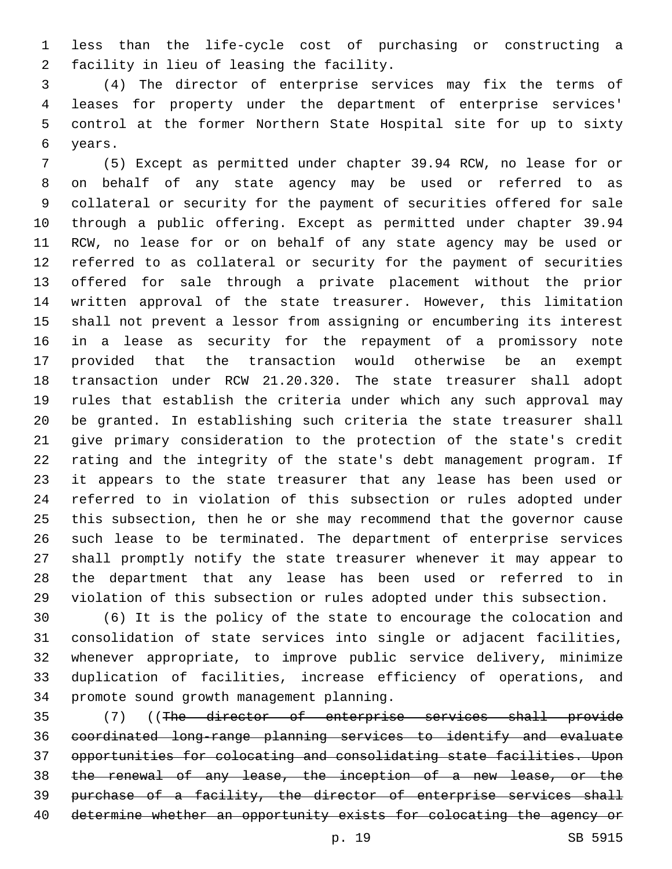less than the life-cycle cost of purchasing or constructing a 2 facility in lieu of leasing the facility.

 (4) The director of enterprise services may fix the terms of leases for property under the department of enterprise services' control at the former Northern State Hospital site for up to sixty 6 years.

 (5) Except as permitted under chapter 39.94 RCW, no lease for or on behalf of any state agency may be used or referred to as collateral or security for the payment of securities offered for sale through a public offering. Except as permitted under chapter 39.94 RCW, no lease for or on behalf of any state agency may be used or referred to as collateral or security for the payment of securities offered for sale through a private placement without the prior written approval of the state treasurer. However, this limitation shall not prevent a lessor from assigning or encumbering its interest in a lease as security for the repayment of a promissory note provided that the transaction would otherwise be an exempt transaction under RCW 21.20.320. The state treasurer shall adopt rules that establish the criteria under which any such approval may be granted. In establishing such criteria the state treasurer shall give primary consideration to the protection of the state's credit rating and the integrity of the state's debt management program. If it appears to the state treasurer that any lease has been used or referred to in violation of this subsection or rules adopted under this subsection, then he or she may recommend that the governor cause such lease to be terminated. The department of enterprise services shall promptly notify the state treasurer whenever it may appear to the department that any lease has been used or referred to in violation of this subsection or rules adopted under this subsection.

 (6) It is the policy of the state to encourage the colocation and consolidation of state services into single or adjacent facilities, whenever appropriate, to improve public service delivery, minimize duplication of facilities, increase efficiency of operations, and 34 promote sound growth management planning.

 (7) ((The director of enterprise services shall provide coordinated long-range planning services to identify and evaluate opportunities for colocating and consolidating state facilities. Upon the renewal of any lease, the inception of a new lease, or the 39 purchase of a facility, the director of enterprise services shall determine whether an opportunity exists for colocating the agency or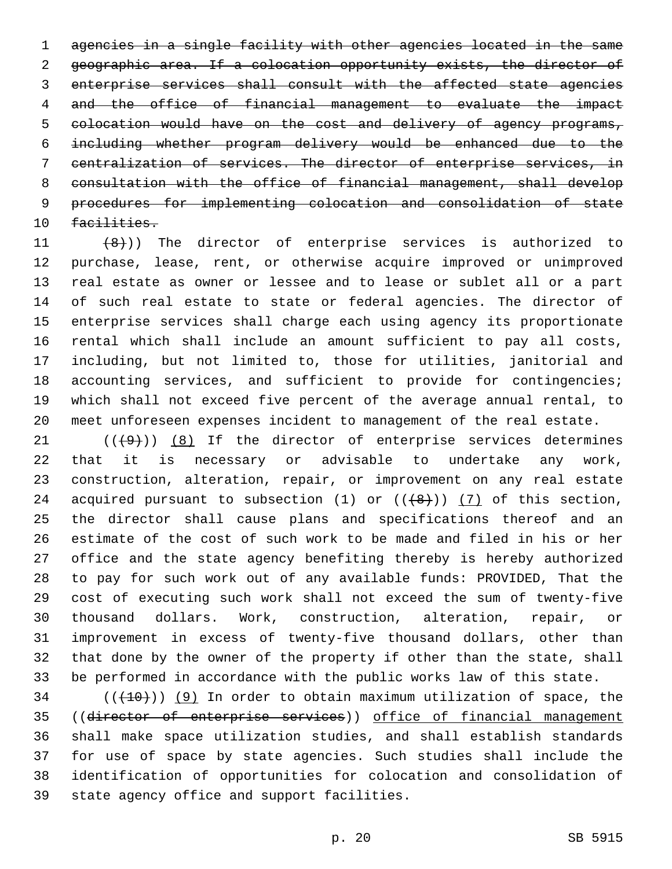agencies in a single facility with other agencies located in the same geographic area. If a colocation opportunity exists, the director of enterprise services shall consult with the affected state agencies and the office of financial management to evaluate the impact colocation would have on the cost and delivery of agency programs, including whether program delivery would be enhanced due to the centralization of services. The director of enterprise services, in consultation with the office of financial management, shall develop procedures for implementing colocation and consolidation of state 10 facilities.

 $(8)$ )) The director of enterprise services is authorized to purchase, lease, rent, or otherwise acquire improved or unimproved real estate as owner or lessee and to lease or sublet all or a part 14 of such real estate to state or federal agencies. The director of enterprise services shall charge each using agency its proportionate rental which shall include an amount sufficient to pay all costs, including, but not limited to, those for utilities, janitorial and 18 accounting services, and sufficient to provide for contingencies; which shall not exceed five percent of the average annual rental, to meet unforeseen expenses incident to management of the real estate.

 $(1 + 9)$ )  $(8)$  If the director of enterprise services determines that it is necessary or advisable to undertake any work, construction, alteration, repair, or improvement on any real estate 24 acquired pursuant to subsection (1) or  $((+8+))$  (7) of this section, the director shall cause plans and specifications thereof and an estimate of the cost of such work to be made and filed in his or her office and the state agency benefiting thereby is hereby authorized to pay for such work out of any available funds: PROVIDED, That the cost of executing such work shall not exceed the sum of twenty-five thousand dollars. Work, construction, alteration, repair, or improvement in excess of twenty-five thousand dollars, other than that done by the owner of the property if other than the state, shall be performed in accordance with the public works law of this state.

 (( $(10)$ )) (9) In order to obtain maximum utilization of space, the ((director of enterprise services)) office of financial management shall make space utilization studies, and shall establish standards for use of space by state agencies. Such studies shall include the identification of opportunities for colocation and consolidation of 39 state agency office and support facilities.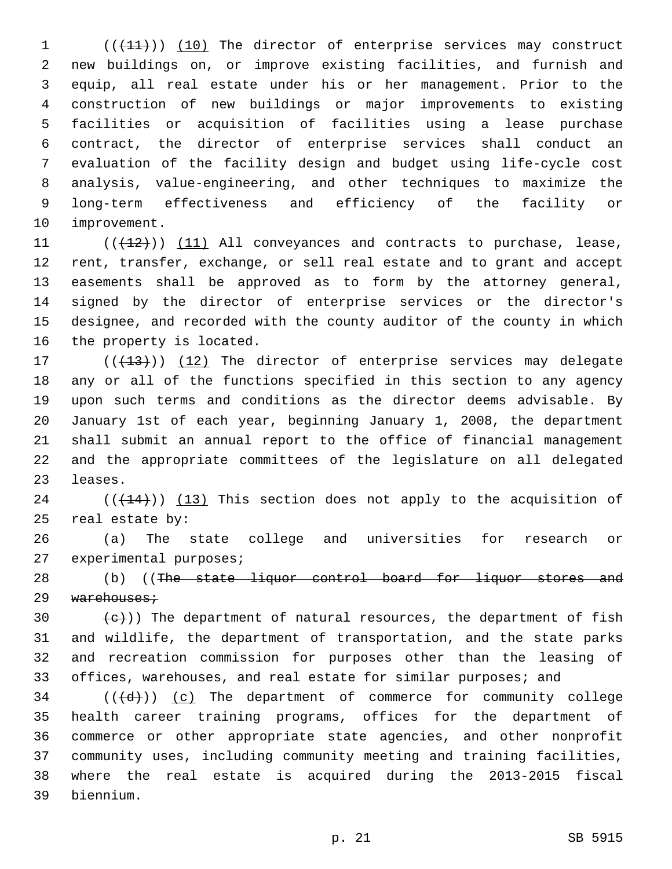1 (( $(11)$ )) (10) The director of enterprise services may construct new buildings on, or improve existing facilities, and furnish and equip, all real estate under his or her management. Prior to the construction of new buildings or major improvements to existing facilities or acquisition of facilities using a lease purchase contract, the director of enterprise services shall conduct an evaluation of the facility design and budget using life-cycle cost analysis, value-engineering, and other techniques to maximize the long-term effectiveness and efficiency of the facility or 10 improvement.

11 (( $(12)$ )) (11) All conveyances and contracts to purchase, lease, rent, transfer, exchange, or sell real estate and to grant and accept easements shall be approved as to form by the attorney general, signed by the director of enterprise services or the director's designee, and recorded with the county auditor of the county in which 16 the property is located.

17 (((413))) (12) The director of enterprise services may delegate any or all of the functions specified in this section to any agency upon such terms and conditions as the director deems advisable. By January 1st of each year, beginning January 1, 2008, the department shall submit an annual report to the office of financial management and the appropriate committees of the legislature on all delegated 23 leases.

 $((+14))$   $(13)$  This section does not apply to the acquisition of 25 real estate by:

 (a) The state college and universities for research or 27 experimental purposes;

28 (b) ((The state liquor control board for liquor stores and 29 warehouses;

 $(e)$ )) The department of natural resources, the department of fish and wildlife, the department of transportation, and the state parks and recreation commission for purposes other than the leasing of offices, warehouses, and real estate for similar purposes; and

 (( $\left(\frac{1}{d} \cdot \right)$ ) (c) The department of commerce for community college health career training programs, offices for the department of commerce or other appropriate state agencies, and other nonprofit community uses, including community meeting and training facilities, where the real estate is acquired during the 2013-2015 fiscal biennium.39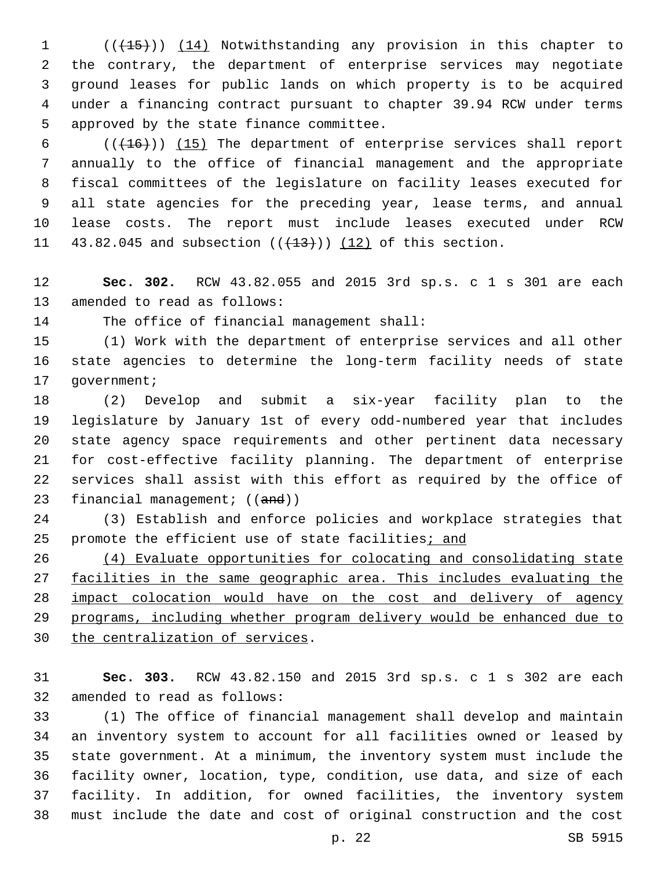(((15))) (14) Notwithstanding any provision in this chapter to the contrary, the department of enterprise services may negotiate ground leases for public lands on which property is to be acquired under a financing contract pursuant to chapter 39.94 RCW under terms 5 approved by the state finance committee.

 $((+16))$   $(15)$  The department of enterprise services shall report annually to the office of financial management and the appropriate fiscal committees of the legislature on facility leases executed for all state agencies for the preceding year, lease terms, and annual lease costs. The report must include leases executed under RCW 11 43.82.045 and subsection  $((+13))$   $(12)$  of this section.

 **Sec. 302.** RCW 43.82.055 and 2015 3rd sp.s. c 1 s 301 are each 13 amended to read as follows:

14 The office of financial management shall:

 (1) Work with the department of enterprise services and all other state agencies to determine the long-term facility needs of state 17 qovernment;

 (2) Develop and submit a six-year facility plan to the legislature by January 1st of every odd-numbered year that includes state agency space requirements and other pertinent data necessary for cost-effective facility planning. The department of enterprise services shall assist with this effort as required by the office of 23 financial management; ((and))

 (3) Establish and enforce policies and workplace strategies that 25 promote the efficient use of state facilities; and

 (4) Evaluate opportunities for colocating and consolidating state 27 facilities in the same geographic area. This includes evaluating the impact colocation would have on the cost and delivery of agency programs, including whether program delivery would be enhanced due to 30 the centralization of services.

 **Sec. 303.** RCW 43.82.150 and 2015 3rd sp.s. c 1 s 302 are each 32 amended to read as follows:

 (1) The office of financial management shall develop and maintain an inventory system to account for all facilities owned or leased by state government. At a minimum, the inventory system must include the facility owner, location, type, condition, use data, and size of each facility. In addition, for owned facilities, the inventory system must include the date and cost of original construction and the cost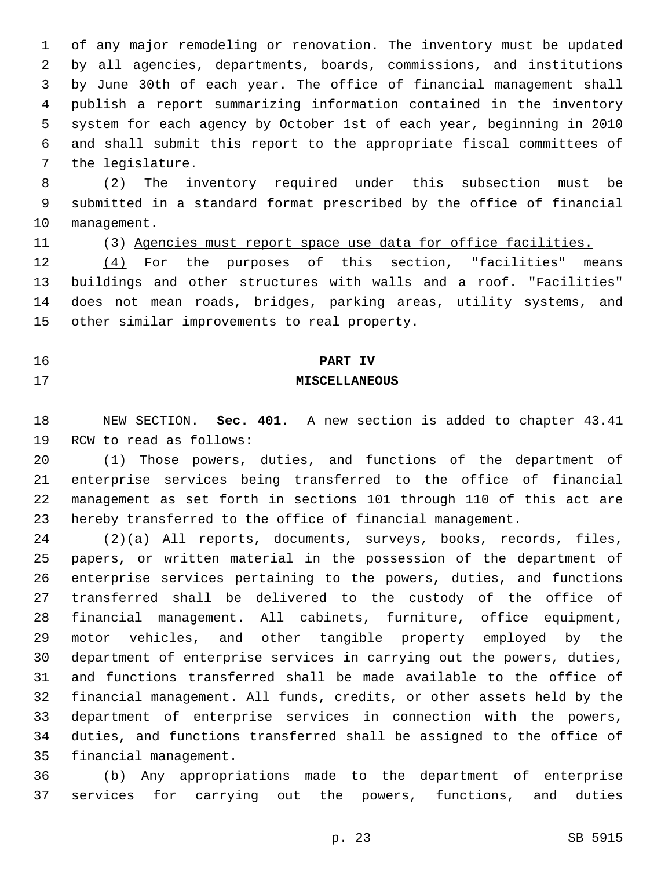of any major remodeling or renovation. The inventory must be updated by all agencies, departments, boards, commissions, and institutions by June 30th of each year. The office of financial management shall publish a report summarizing information contained in the inventory system for each agency by October 1st of each year, beginning in 2010 and shall submit this report to the appropriate fiscal committees of 7 the legislature.

 (2) The inventory required under this subsection must be submitted in a standard format prescribed by the office of financial 10 management.

 (3) Agencies must report space use data for office facilities. (4) For the purposes of this section, "facilities" means buildings and other structures with walls and a roof. "Facilities" does not mean roads, bridges, parking areas, utility systems, and

15 other similar improvements to real property.

#### **PART IV**

### **MISCELLANEOUS**

 NEW SECTION. **Sec. 401.** A new section is added to chapter 43.41 19 RCW to read as follows:

 (1) Those powers, duties, and functions of the department of enterprise services being transferred to the office of financial management as set forth in sections 101 through 110 of this act are hereby transferred to the office of financial management.

 (2)(a) All reports, documents, surveys, books, records, files, papers, or written material in the possession of the department of enterprise services pertaining to the powers, duties, and functions transferred shall be delivered to the custody of the office of financial management. All cabinets, furniture, office equipment, motor vehicles, and other tangible property employed by the department of enterprise services in carrying out the powers, duties, and functions transferred shall be made available to the office of financial management. All funds, credits, or other assets held by the department of enterprise services in connection with the powers, duties, and functions transferred shall be assigned to the office of 35 financial management.

 (b) Any appropriations made to the department of enterprise services for carrying out the powers, functions, and duties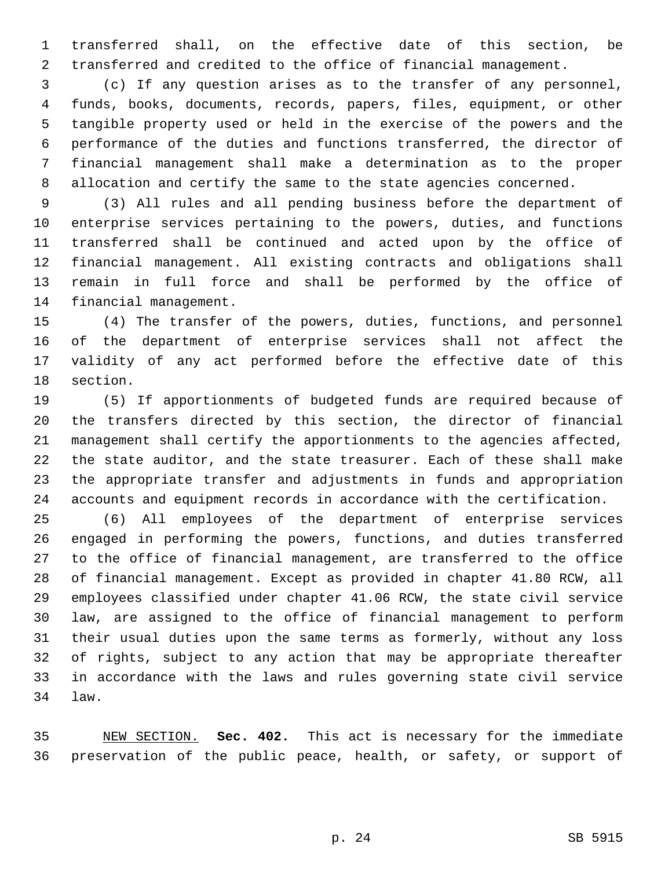transferred shall, on the effective date of this section, be transferred and credited to the office of financial management.

 (c) If any question arises as to the transfer of any personnel, funds, books, documents, records, papers, files, equipment, or other tangible property used or held in the exercise of the powers and the performance of the duties and functions transferred, the director of financial management shall make a determination as to the proper allocation and certify the same to the state agencies concerned.

 (3) All rules and all pending business before the department of enterprise services pertaining to the powers, duties, and functions transferred shall be continued and acted upon by the office of financial management. All existing contracts and obligations shall remain in full force and shall be performed by the office of 14 financial management.

 (4) The transfer of the powers, duties, functions, and personnel of the department of enterprise services shall not affect the validity of any act performed before the effective date of this 18 section.

 (5) If apportionments of budgeted funds are required because of the transfers directed by this section, the director of financial management shall certify the apportionments to the agencies affected, the state auditor, and the state treasurer. Each of these shall make the appropriate transfer and adjustments in funds and appropriation accounts and equipment records in accordance with the certification.

 (6) All employees of the department of enterprise services engaged in performing the powers, functions, and duties transferred to the office of financial management, are transferred to the office of financial management. Except as provided in chapter 41.80 RCW, all employees classified under chapter 41.06 RCW, the state civil service law, are assigned to the office of financial management to perform their usual duties upon the same terms as formerly, without any loss of rights, subject to any action that may be appropriate thereafter in accordance with the laws and rules governing state civil service law.34

 NEW SECTION. **Sec. 402.** This act is necessary for the immediate preservation of the public peace, health, or safety, or support of